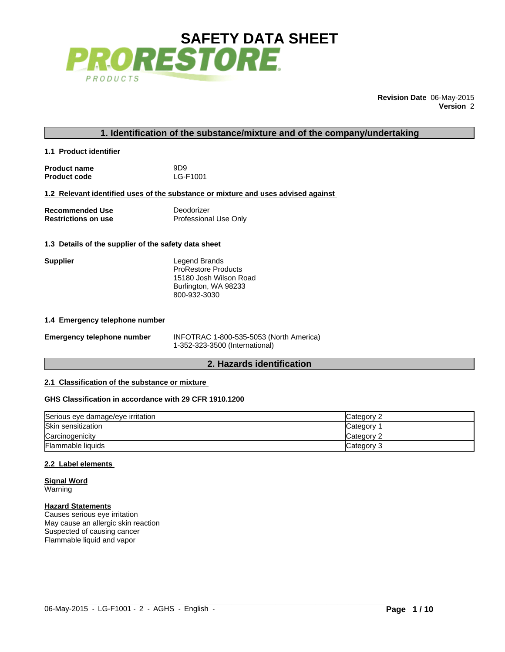

**Revision Date** 06-May-2015 **Version** 2

# **1. Identification of the substance/mixture and of the company/undertaking**

| 1.1 Product identifier |  |
|------------------------|--|
|------------------------|--|

| <b>Product name</b> | 9D <sub>9</sub> |
|---------------------|-----------------|
| <b>Product code</b> | LG-F1001        |

#### **1.2 Relevant identified uses of the substance or mixture and uses advised against**

| <b>Recommended Use</b>     | Deodorizer            |
|----------------------------|-----------------------|
| <b>Restrictions on use</b> | Professional Use Only |

## **1.3 Details of the supplier of the safety data sheet**

| Supplier | Legend Brands<br><b>ProRestore Products</b><br>15180 Josh Wilson Road<br>Burlington, WA 98233 |
|----------|-----------------------------------------------------------------------------------------------|
|          | 800-932-3030                                                                                  |

#### **1.4 Emergency telephone number**

| <b>Emergency telephone number</b> | INFOTRAC 1-800-535-5053 (North America) |  |  |  |
|-----------------------------------|-----------------------------------------|--|--|--|
|                                   | 1-352-323-3500 (International)          |  |  |  |

# **2. Hazards identification**

## **2.1 Classification of the substance or mixture**

# **GHS Classification in accordance with 29 CFR 1910.1200**

| Serious eye damage/eye irritation | Category 2      |
|-----------------------------------|-----------------|
| Skin sensitization                | <b>Category</b> |
| Carcinogenicity                   | Category 2      |
| Flammable liquids                 | Category 3      |

 $\_$  ,  $\_$  ,  $\_$  ,  $\_$  ,  $\_$  ,  $\_$  ,  $\_$  ,  $\_$  ,  $\_$  ,  $\_$  ,  $\_$  ,  $\_$  ,  $\_$  ,  $\_$  ,  $\_$  ,  $\_$  ,  $\_$  ,  $\_$  ,  $\_$  ,  $\_$  ,  $\_$  ,  $\_$  ,  $\_$  ,  $\_$  ,  $\_$  ,  $\_$  ,  $\_$  ,  $\_$  ,  $\_$  ,  $\_$  ,  $\_$  ,  $\_$  ,  $\_$  ,  $\_$  ,  $\_$  ,  $\_$  ,  $\_$  ,

## **2.2 Label elements**

**Signal Word** Warning

#### **Hazard Statements**

Causes serious eye irritation May cause an allergic skin reaction Suspected of causing cancer Flammable liquid and vapor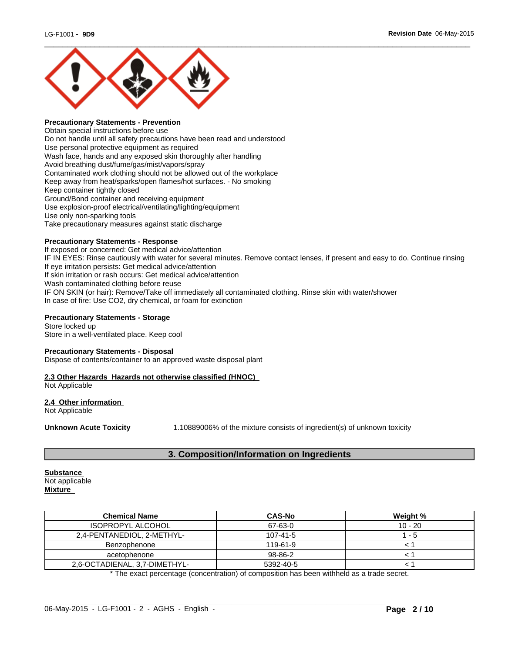

# **Precautionary Statements - Prevention**

Obtain special instructions before use Do not handle until all safety precautions have been read and understood Use personal protective equipment as required Wash face, hands and any exposed skin thoroughly after handling Avoid breathing dust/fume/gas/mist/vapors/spray Contaminated work clothing should not be allowed out of the workplace Keep away from heat/sparks/open flames/hot surfaces. - No smoking Keep container tightly closed Ground/Bond container and receiving equipment Use explosion-proof electrical/ventilating/lighting/equipment Use only non-sparking tools Take precautionary measures against static discharge

# **Precautionary Statements - Response**

If exposed or concerned: Get medical advice/attention IF IN EYES: Rinse cautiously with water for several minutes. Remove contact lenses, if present and easy to do. Continue rinsing If eye irritation persists: Get medical advice/attention If skin irritation or rash occurs: Get medical advice/attention Wash contaminated clothing before reuse IF ON SKIN (or hair): Remove/Take off immediately all contaminated clothing. Rinse skin with water/shower In case of fire: Use CO2, dry chemical, or foam for extinction

## **Precautionary Statements - Storage**

Store locked up Store in a well-ventilated place. Keep cool

## **Precautionary Statements - Disposal**

Dispose of contents/container to an approved waste disposal plant

## **2.3 Other Hazards Hazards not otherwise classified (HNOC)**

Not Applicable

#### **2.4 Other information**  Not Applicable

**Unknown Acute Toxicity** 1.10889006% of the mixture consists of ingredient(s) of unknown toxicity

# **3. Composition/Information on Ingredients**

## **Substance**  Not applicable

**Mixture** 

| <b>Chemical Name</b>          | <b>CAS-No</b>  | Weight %  |
|-------------------------------|----------------|-----------|
| <b>ISOPROPYL ALCOHOL</b>      | 67-63-0        | $10 - 20$ |
| 2,4-PENTANEDIOL, 2-METHYL-    | $107 - 41 - 5$ | - 5       |
| Benzophenone                  | 119-61-9       |           |
| acetophenone                  | 98-86-2        |           |
| 2,6-OCTADIENAL, 3,7-DIMETHYL- | 5392-40-5      |           |

\* The exact percentage (concentration) of composition has been withheld as a trade secret.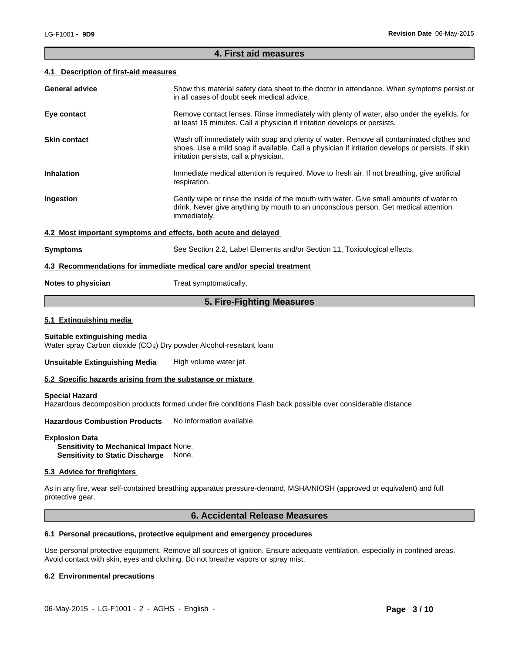#### **4. First aid measures**

 $\overline{\phantom{a}}$  ,  $\overline{\phantom{a}}$  ,  $\overline{\phantom{a}}$  ,  $\overline{\phantom{a}}$  ,  $\overline{\phantom{a}}$  ,  $\overline{\phantom{a}}$  ,  $\overline{\phantom{a}}$  ,  $\overline{\phantom{a}}$  ,  $\overline{\phantom{a}}$  ,  $\overline{\phantom{a}}$  ,  $\overline{\phantom{a}}$  ,  $\overline{\phantom{a}}$  ,  $\overline{\phantom{a}}$  ,  $\overline{\phantom{a}}$  ,  $\overline{\phantom{a}}$  ,  $\overline{\phantom{a}}$ 

#### **4.1 Description of first-aid measures**

| <b>General advice</b>                                                   | Show this material safety data sheet to the doctor in attendance. When symptoms persist or<br>in all cases of doubt seek medical advice.                                                                                               |  |  |  |
|-------------------------------------------------------------------------|----------------------------------------------------------------------------------------------------------------------------------------------------------------------------------------------------------------------------------------|--|--|--|
| Eye contact                                                             | Remove contact lenses. Rinse immediately with plenty of water, also under the eyelids, for<br>at least 15 minutes. Call a physician if irritation develops or persists.                                                                |  |  |  |
| <b>Skin contact</b>                                                     | Wash off immediately with soap and plenty of water. Remove all contaminated clothes and<br>shoes. Use a mild soap if available. Call a physician if irritation develops or persists. If skin<br>irritation persists, call a physician. |  |  |  |
| <b>Inhalation</b>                                                       | Immediate medical attention is required. Move to fresh air. If not breathing, give artificial<br>respiration.                                                                                                                          |  |  |  |
| Ingestion                                                               | Gently wipe or rinse the inside of the mouth with water. Give small amounts of water to<br>drink. Never give anything by mouth to an unconscious person. Get medical attention<br>immediately.                                         |  |  |  |
| 4.2 Most important symptoms and effects, both acute and delayed         |                                                                                                                                                                                                                                        |  |  |  |
| <b>Symptoms</b>                                                         | See Section 2.2, Label Elements and/or Section 11, Toxicological effects.                                                                                                                                                              |  |  |  |
| 4.3 Recommendations for immediate medical care and/or special treatment |                                                                                                                                                                                                                                        |  |  |  |
| Notes to physician                                                      | Treat symptomatically.                                                                                                                                                                                                                 |  |  |  |

# **5. Fire-Fighting Measures**

#### **5.1 Extinguishing media**

#### **Suitable extinguishing media**

Water spray Carbon dioxide (CO 2) Dry powder Alcohol-resistant foam

**Unsuitable Extinguishing Media** High volume water jet.

#### **5.2 Specific hazards arising from the substance or mixture**

#### **Special Hazard**

Hazardous decomposition products formed under fire conditions Flash back possible over considerable distance

**Hazardous Combustion Products** No information available.

#### **Explosion Data**

**Sensitivity to Mechanical Impact** None. **Sensitivity to Static Discharge** None.

## **5.3 Advice for firefighters**

As in any fire, wear self-contained breathing apparatus pressure-demand, MSHA/NIOSH (approved or equivalent) and full protective gear.

# **6. Accidental Release Measures**

## **6.1 Personal precautions, protective equipment and emergency procedures**

Use personal protective equipment. Remove all sources of ignition. Ensure adequate ventilation, especially in confined areas. Avoid contact with skin, eyes and clothing. Do not breathe vapors or spray mist.

 $\_$  ,  $\_$  ,  $\_$  ,  $\_$  ,  $\_$  ,  $\_$  ,  $\_$  ,  $\_$  ,  $\_$  ,  $\_$  ,  $\_$  ,  $\_$  ,  $\_$  ,  $\_$  ,  $\_$  ,  $\_$  ,  $\_$  ,  $\_$  ,  $\_$  ,  $\_$  ,  $\_$  ,  $\_$  ,  $\_$  ,  $\_$  ,  $\_$  ,  $\_$  ,  $\_$  ,  $\_$  ,  $\_$  ,  $\_$  ,  $\_$  ,  $\_$  ,  $\_$  ,  $\_$  ,  $\_$  ,  $\_$  ,  $\_$  ,

## **6.2 Environmental precautions**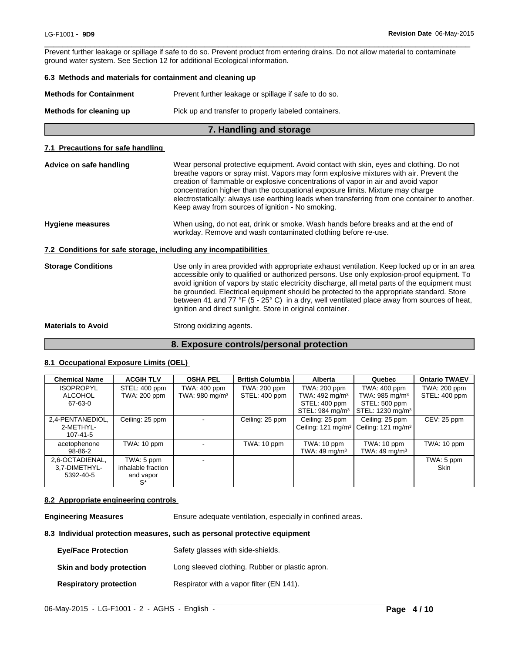Prevent further leakage or spillage if safe to do so. Prevent product from entering drains. Do not allow material to contaminate ground water system. See Section 12 for additional Ecological information.

 $\overline{\phantom{a}}$  ,  $\overline{\phantom{a}}$  ,  $\overline{\phantom{a}}$  ,  $\overline{\phantom{a}}$  ,  $\overline{\phantom{a}}$  ,  $\overline{\phantom{a}}$  ,  $\overline{\phantom{a}}$  ,  $\overline{\phantom{a}}$  ,  $\overline{\phantom{a}}$  ,  $\overline{\phantom{a}}$  ,  $\overline{\phantom{a}}$  ,  $\overline{\phantom{a}}$  ,  $\overline{\phantom{a}}$  ,  $\overline{\phantom{a}}$  ,  $\overline{\phantom{a}}$  ,  $\overline{\phantom{a}}$ 

# **6.3 Methods and materials for containment and cleaning up**

| 7. Handling and storage        |                                                       |  |  |
|--------------------------------|-------------------------------------------------------|--|--|
| Methods for cleaning up        | Pick up and transfer to properly labeled containers.  |  |  |
| <b>Methods for Containment</b> | Prevent further leakage or spillage if safe to do so. |  |  |

## **7.1 Precautions for safe handling**

| Advice on safe handling   | Wear personal protective equipment. Avoid contact with skin, eyes and clothing. Do not<br>breathe vapors or spray mist. Vapors may form explosive mixtures with air. Prevent the<br>creation of flammable or explosive concentrations of vapor in air and avoid vapor<br>concentration higher than the occupational exposure limits. Mixture may charge<br>electrostatically: always use earthing leads when transferring from one container to another.<br>Keep away from sources of ignition - No smoking.                                           |
|---------------------------|--------------------------------------------------------------------------------------------------------------------------------------------------------------------------------------------------------------------------------------------------------------------------------------------------------------------------------------------------------------------------------------------------------------------------------------------------------------------------------------------------------------------------------------------------------|
| <b>Hygiene measures</b>   | When using, do not eat, drink or smoke. Wash hands before breaks and at the end of<br>workday. Remove and wash contaminated clothing before re-use.                                                                                                                                                                                                                                                                                                                                                                                                    |
|                           | 7.2 Conditions for safe storage, including any incompatibilities                                                                                                                                                                                                                                                                                                                                                                                                                                                                                       |
| <b>Storage Conditions</b> | Use only in area provided with appropriate exhaust ventilation. Keep locked up or in an area<br>accessible only to qualified or authorized persons. Use only explosion-proof equipment. To<br>avoid ignition of vapors by static electricity discharge, all metal parts of the equipment must<br>be grounded. Electrical equipment should be protected to the appropriate standard. Store<br>between 41 and 77 °F (5 - 25° C) in a dry, well ventilated place away from sources of heat,<br>ignition and direct sunlight. Store in original container. |
| <b>Materials to Avoid</b> | Strong oxidizing agents.                                                                                                                                                                                                                                                                                                                                                                                                                                                                                                                               |

# **8. Exposure controls/personal protection**

## **8.1 Occupational Exposure Limits (OEL)**

| <b>Chemical Name</b>                          | <b>ACGIH TLV</b>                                    | <b>OSHA PEL</b>                            | <b>British Columbia</b>       | <b>Alberta</b>                                             | Quebec                                                                             | <b>Ontario TWAEV</b>          |
|-----------------------------------------------|-----------------------------------------------------|--------------------------------------------|-------------------------------|------------------------------------------------------------|------------------------------------------------------------------------------------|-------------------------------|
| <b>ISOPROPYL</b><br>ALCOHOL<br>67-63-0        | STEL: 400 ppm<br>TWA: 200 ppm                       | TWA: 400 ppm<br>TWA: 980 mg/m <sup>3</sup> | TWA: 200 ppm<br>STEL: 400 ppm | TWA: 200 ppm<br>TWA: $492 \text{ mg/m}^3$<br>STEL: 400 ppm | TWA: 400 ppm<br>TWA: $985 \text{ mg/m}^3$<br>STEL: 500 ppm                         | TWA: 200 ppm<br>STEL: 400 ppm |
|                                               |                                                     |                                            |                               | STEL: 984 mg/m $3$                                         | STEL: 1230 mg/m <sup>3</sup>                                                       |                               |
| 2,4-PENTANEDIOL,<br>2-METHYL-<br>107-41-5     | Ceiling: 25 ppm                                     | $\overline{\phantom{0}}$                   | Ceiling: 25 ppm               | Ceiling: 25 ppm                                            | Ceiling: 25 ppm<br>Ceiling: 121 mg/m <sup>3</sup>   Ceiling: 121 mg/m <sup>3</sup> | $CEV: 25$ ppm                 |
| acetophenone<br>98-86-2                       | TWA: 10 ppm                                         | $\overline{\phantom{0}}$                   | TWA: 10 ppm                   | TWA: 10 ppm<br>TWA: 49 mg/m $3$                            | TWA: 10 ppm<br>TWA: $49 \text{ mg/m}^3$                                            | TWA: 10 ppm                   |
| 2,6-OCTADIENAL,<br>3.7-DIMETHYL-<br>5392-40-5 | TWA: 5 ppm<br>inhalable fraction<br>and vapor<br>S* |                                            |                               |                                                            |                                                                                    | TWA: 5 ppm<br><b>Skin</b>     |

## **8.2 Appropriate engineering controls**

**Engineering Measures** Ensure adequate ventilation, especially in confined areas.

 $\_$  , and the set of the set of the set of the set of the set of the set of the set of the set of the set of the set of the set of the set of the set of the set of the set of the set of the set of the set of the set of th

# **8.3 Individual protection measures, such as personal protective equipment**

| <b>Eve/Face Protection</b>    | Safety glasses with side-shields.               |
|-------------------------------|-------------------------------------------------|
| Skin and body protection      | Long sleeved clothing. Rubber or plastic apron. |
| <b>Respiratory protection</b> | Respirator with a vapor filter (EN 141).        |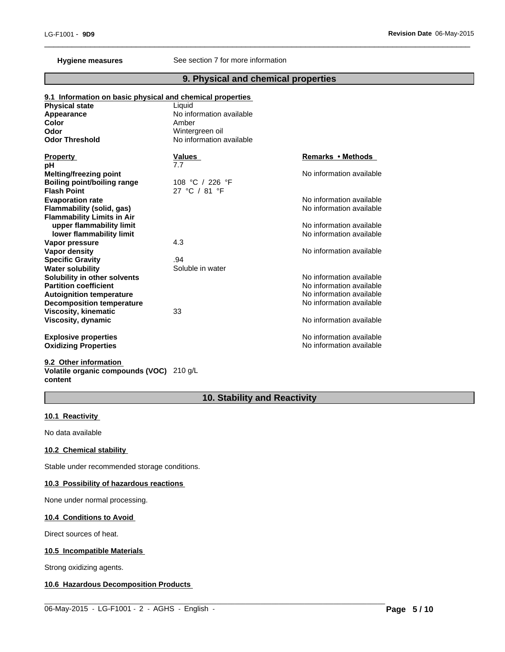## **Hygiene measures** See section 7 for more information

# **9. Physical and chemical properties**

 $\overline{\phantom{a}}$  ,  $\overline{\phantom{a}}$  ,  $\overline{\phantom{a}}$  ,  $\overline{\phantom{a}}$  ,  $\overline{\phantom{a}}$  ,  $\overline{\phantom{a}}$  ,  $\overline{\phantom{a}}$  ,  $\overline{\phantom{a}}$  ,  $\overline{\phantom{a}}$  ,  $\overline{\phantom{a}}$  ,  $\overline{\phantom{a}}$  ,  $\overline{\phantom{a}}$  ,  $\overline{\phantom{a}}$  ,  $\overline{\phantom{a}}$  ,  $\overline{\phantom{a}}$  ,  $\overline{\phantom{a}}$ 

| 9.1 Information on basic physical and chemical properties |                          |                          |
|-----------------------------------------------------------|--------------------------|--------------------------|
| <b>Physical state</b>                                     | Liquid                   |                          |
| Appearance                                                | No information available |                          |
| <b>Color</b>                                              | Amber                    |                          |
| Odor                                                      | Wintergreen oil          |                          |
| <b>Odor Threshold</b>                                     | No information available |                          |
| <b>Property</b>                                           | <b>Values</b>            | Remarks • Methods        |
| рH                                                        | 7.7                      |                          |
| <b>Melting/freezing point</b>                             |                          | No information available |
| <b>Boiling point/boiling range</b>                        | 108 °C / 226 °F          |                          |
| <b>Flash Point</b>                                        | 27 °C / 81 °F            |                          |
| <b>Evaporation rate</b>                                   |                          | No information available |
| <b>Flammability (solid, gas)</b>                          |                          | No information available |
| <b>Flammability Limits in Air</b>                         |                          |                          |
| upper flammability limit                                  |                          | No information available |
| lower flammability limit                                  |                          | No information available |
| Vapor pressure                                            | 4.3                      |                          |
| Vapor density                                             |                          | No information available |
| <b>Specific Gravity</b>                                   | .94                      |                          |
| <b>Water solubility</b>                                   | Soluble in water         |                          |
| Solubility in other solvents                              |                          | No information available |
| <b>Partition coefficient</b>                              |                          | No information available |
| <b>Autoignition temperature</b>                           |                          | No information available |
| <b>Decomposition temperature</b>                          |                          | No information available |
| <b>Viscosity, kinematic</b>                               | 33                       |                          |
| <b>Viscosity, dynamic</b>                                 |                          | No information available |
| <b>Explosive properties</b>                               |                          | No information available |
| <b>Oxidizing Properties</b>                               |                          | No information available |

**9.2 Other information Volatile organic compounds (VOC)** 210 g/L **content**

# **10. Stability and Reactivity**

# **10.1 Reactivity**

No data available

# **10.2 Chemical stability**

Stable under recommended storage conditions.

# **10.3 Possibility of hazardous reactions**

None under normal processing.

# **10.4 Conditions to Avoid**

Direct sources of heat.

# **10.5 Incompatible Materials**

Strong oxidizing agents.

# **10.6 Hazardous Decomposition Products**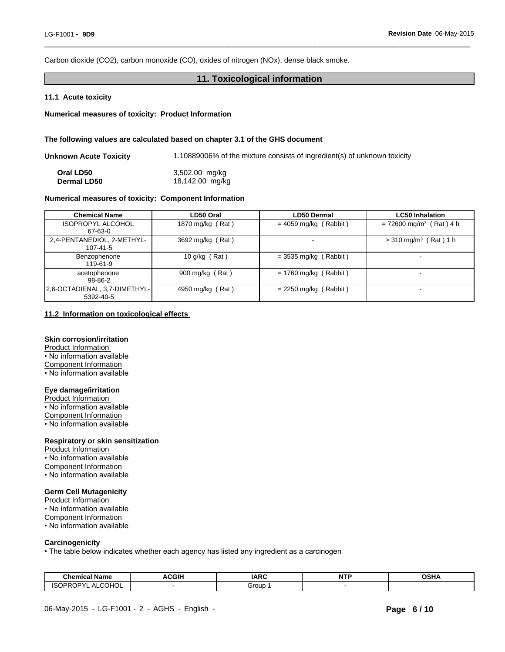Carbon dioxide (CO2), carbon monoxide (CO), oxides of nitrogen (NOx), dense black smoke.

# **11. Toxicological information**

 $\overline{\phantom{a}}$  ,  $\overline{\phantom{a}}$  ,  $\overline{\phantom{a}}$  ,  $\overline{\phantom{a}}$  ,  $\overline{\phantom{a}}$  ,  $\overline{\phantom{a}}$  ,  $\overline{\phantom{a}}$  ,  $\overline{\phantom{a}}$  ,  $\overline{\phantom{a}}$  ,  $\overline{\phantom{a}}$  ,  $\overline{\phantom{a}}$  ,  $\overline{\phantom{a}}$  ,  $\overline{\phantom{a}}$  ,  $\overline{\phantom{a}}$  ,  $\overline{\phantom{a}}$  ,  $\overline{\phantom{a}}$ 

#### **11.1 Acute toxicity**

**Numerical measures of toxicity: Product Information**

#### **The following values are calculated based on chapter 3.1 of the GHS document**

| Unknown Acute Toxicity | 1.10889006% of the mixture consists of ingredient(s) of unknown toxicity |
|------------------------|--------------------------------------------------------------------------|
| Oral LD50              | 3,502.00 mg/kg                                                           |
| <b>Dermal LD50</b>     | 18,142.00 mg/kg                                                          |

#### **Numerical measures of toxicity: Component Information**

| <b>Chemical Name</b>                       | LD50 Oral         | LD50 Dermal             | <b>LC50 Inhalation</b>                |
|--------------------------------------------|-------------------|-------------------------|---------------------------------------|
| <b>ISOPROPYL ALCOHOL</b><br>67-63-0        | 1870 mg/kg (Rat)  | $= 4059$ mg/kg (Rabbit) | $= 72600$ mg/m <sup>3</sup> (Rat) 4 h |
| 2,4-PENTANEDIOL, 2-METHYL-<br>107-41-5     | 3692 mg/kg (Rat)  |                         | $>$ 310 mg/m <sup>3</sup> (Rat) 1 h   |
| Benzophenone<br>119-61-9                   | 10 g/kg $(Rat)$   | $=$ 3535 mg/kg (Rabbit) |                                       |
| acetophenone<br>98-86-2                    | 900 mg/kg $(Rat)$ | $= 1760$ mg/kg (Rabbit) |                                       |
| 2.6-OCTADIENAL, 3.7-DIMETHYL-<br>5392-40-5 | 4950 mg/kg (Rat)  | $= 2250$ mg/kg (Rabbit) |                                       |

#### **11.2 Information on toxicological effects**

# **Skin corrosion/irritation**

Product Information • No information available Component Information

• No information available

# **Eye damage/irritation**

Product Information • No information available Component Information • No information available

#### **Respiratory or skin sensitization**

Product Information • No information available Component Information • No information available

## **Germ Cell Mutagenicity**

Product Information • No information available Component Information • No information available

#### **Carcinogenicity**

• The table below indicates whether each agency has listed any ingredient as a carcinogen

| Chemical Name                                        | <b>ACGIH</b> | <b>IARC</b> | <b>NTP</b><br>. | <b>OSHA</b> |
|------------------------------------------------------|--------------|-------------|-----------------|-------------|
| 0 <sup>1</sup><br><b>ISOPRO</b><br>АL<br>-UUNUL<br>◡ |              | Group       |                 |             |

 $\_$  ,  $\_$  ,  $\_$  ,  $\_$  ,  $\_$  ,  $\_$  ,  $\_$  ,  $\_$  ,  $\_$  ,  $\_$  ,  $\_$  ,  $\_$  ,  $\_$  ,  $\_$  ,  $\_$  ,  $\_$  ,  $\_$  ,  $\_$  ,  $\_$  ,  $\_$  ,  $\_$  ,  $\_$  ,  $\_$  ,  $\_$  ,  $\_$  ,  $\_$  ,  $\_$  ,  $\_$  ,  $\_$  ,  $\_$  ,  $\_$  ,  $\_$  ,  $\_$  ,  $\_$  ,  $\_$  ,  $\_$  ,  $\_$  ,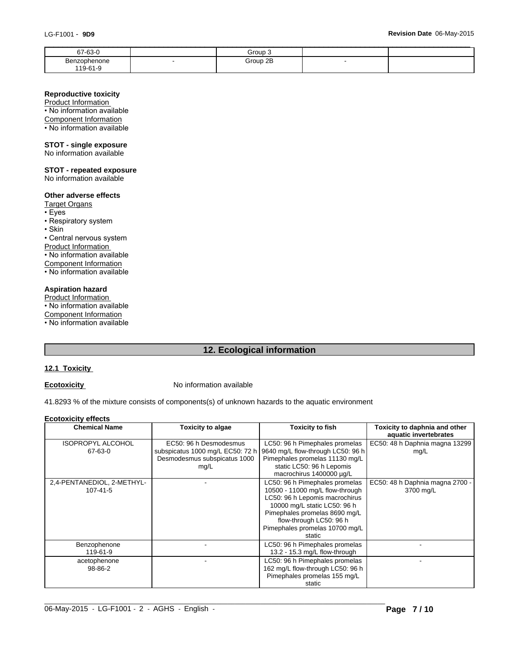| 67-63-0                  | Group 3  |  |
|--------------------------|----------|--|
| Benzophenone<br>119-61-9 | Group 2B |  |
|                          |          |  |

#### **Reproductive toxicity**

Product Information • No information available

Component Information

• No information available

# **STOT - single exposure**

No information available

## **STOT - repeated exposure**

No information available

## **Other adverse effects**

- Target Organs
- •Eyes
- Respiratory system
- •Skin

• Central nervous system

Product Information

• No information available

Component Information

• No information available

## **Aspiration hazard**

Product Information

• No information available

Component Information

• No information available

# **12. Ecological information**

# **12.1 Toxicity**

**Ecotoxicity No information available** 

41.8293 % of the mixture consists of components(s) of unknown hazards to the aquatic environment

#### **Ecotoxicity effects**

| <b>Chemical Name</b>       | Toxicity to algae                | <b>Toxicity to fish</b>           | Toxicity to daphnia and other   |
|----------------------------|----------------------------------|-----------------------------------|---------------------------------|
|                            |                                  |                                   | aquatic invertebrates           |
| <b>ISOPROPYL ALCOHOL</b>   | EC50: 96 h Desmodesmus           | LC50: 96 h Pimephales promelas    | EC50: 48 h Daphnia magna 13299  |
| 67-63-0                    | subspicatus 1000 mg/L EC50: 72 h | 9640 mg/L flow-through LC50: 96 h | mg/L                            |
|                            | Desmodesmus subspicatus 1000     | Pimephales promelas 11130 mg/L    |                                 |
|                            | mg/L                             | static LC50: 96 h Lepomis         |                                 |
|                            |                                  | macrochirus 1400000 µg/L          |                                 |
| 2,4-PENTANEDIOL, 2-METHYL- |                                  | LC50: 96 h Pimephales promelas    | EC50: 48 h Daphnia magna 2700 - |
| 107-41-5                   |                                  | 10500 - 11000 mg/L flow-through   | 3700 mg/L                       |
|                            |                                  | LC50: 96 h Lepomis macrochirus    |                                 |
|                            |                                  | 10000 mg/L static LC50: 96 h      |                                 |
|                            |                                  | Pimephales promelas 8690 mg/L     |                                 |
|                            |                                  | flow-through LC50: 96 h           |                                 |
|                            |                                  | Pimephales promelas 10700 mg/L    |                                 |
|                            |                                  | static                            |                                 |
| Benzophenone               |                                  | LC50: 96 h Pimephales promelas    |                                 |
| 119-61-9                   |                                  | 13.2 - 15.3 mg/L flow-through     |                                 |
| acetophenone               |                                  | LC50: 96 h Pimephales promelas    |                                 |
| 98-86-2                    |                                  | 162 mg/L flow-through LC50: 96 h  |                                 |
|                            |                                  | Pimephales promelas 155 mg/L      |                                 |
|                            |                                  | static                            |                                 |

 $\_$  ,  $\_$  ,  $\_$  ,  $\_$  ,  $\_$  ,  $\_$  ,  $\_$  ,  $\_$  ,  $\_$  ,  $\_$  ,  $\_$  ,  $\_$  ,  $\_$  ,  $\_$  ,  $\_$  ,  $\_$  ,  $\_$  ,  $\_$  ,  $\_$  ,  $\_$  ,  $\_$  ,  $\_$  ,  $\_$  ,  $\_$  ,  $\_$  ,  $\_$  ,  $\_$  ,  $\_$  ,  $\_$  ,  $\_$  ,  $\_$  ,  $\_$  ,  $\_$  ,  $\_$  ,  $\_$  ,  $\_$  ,  $\_$  ,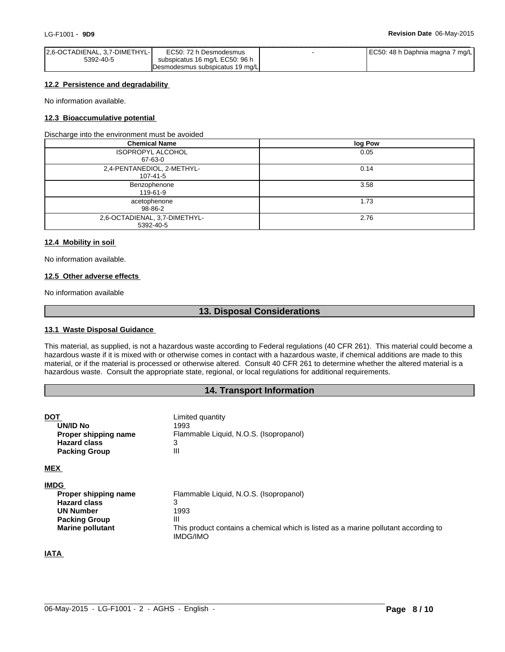| 2.6-OCTADIENAL, 3.7-DIMETHYL- | EC50: 72 h Desmodesmus           | EC50: 48 h Daphnia magna<br>7 mg/L |  |
|-------------------------------|----------------------------------|------------------------------------|--|
| 5392-40-5                     | subspicatus 16 mg/L EC50: 96 h   |                                    |  |
|                               | IDesmodesmus subspicatus 19 mg/L |                                    |  |

#### **12.2 Persistence and degradability**

No information available.

## **12.3 Bioaccumulative potential**

Discharge into the environment must be avoided

| <b>Chemical Name</b>                         | log Pow |
|----------------------------------------------|---------|
| <b>ISOPROPYL ALCOHOL</b><br>67-63-0          | 0.05    |
| 2,4-PENTANEDIOL, 2-METHYL-<br>$107 - 41 - 5$ | 0.14    |
| Benzophenone<br>119-61-9                     | 3.58    |
| acetophenone<br>98-86-2                      | 1.73    |
| 2,6-OCTADIENAL, 3,7-DIMETHYL-<br>5392-40-5   | 2.76    |

#### **12.4 Mobility in soil**

No information available.

## **12.5 Other adverse effects**

No information available

# **13. Disposal Considerations**

#### **13.1 Waste Disposal Guidance**

This material, as supplied, is not a hazardous waste according to Federal regulations (40 CFR 261). This material could become a hazardous waste if it is mixed with or otherwise comes in contact with a hazardous waste, if chemical additions are made to this material, or if the material is processed or otherwise altered. Consult 40 CFR 261 to determine whether the altered material is a hazardous waste. Consult the appropriate state, regional, or local regulations for additional requirements.

## **14. Transport Information**

| DOT<br>UN/ID No<br>Proper shipping name<br><b>Hazard class</b><br><b>Packing Group</b> | Limited quantity<br>1993<br>Flammable Liquid, N.O.S. (Isopropanol)<br>3<br>Ш                           |
|----------------------------------------------------------------------------------------|--------------------------------------------------------------------------------------------------------|
| <b>MEX</b>                                                                             |                                                                                                        |
| <b>IMDG</b>                                                                            |                                                                                                        |
| Proper shipping name                                                                   | Flammable Liquid, N.O.S. (Isopropanol)                                                                 |
| <b>Hazard class</b>                                                                    | 3                                                                                                      |
| <b>UN Number</b>                                                                       | 1993                                                                                                   |
| <b>Packing Group</b>                                                                   | Ш                                                                                                      |
| <b>Marine pollutant</b>                                                                | This product contains a chemical which is listed as a marine pollutant according to<br><b>IMDG/IMO</b> |

# **IATA**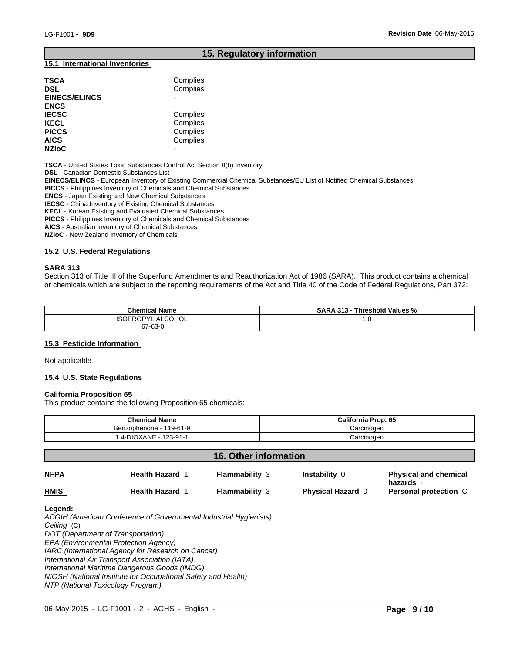# **15. Regulatory information**

 $\overline{\phantom{a}}$  ,  $\overline{\phantom{a}}$  ,  $\overline{\phantom{a}}$  ,  $\overline{\phantom{a}}$  ,  $\overline{\phantom{a}}$  ,  $\overline{\phantom{a}}$  ,  $\overline{\phantom{a}}$  ,  $\overline{\phantom{a}}$  ,  $\overline{\phantom{a}}$  ,  $\overline{\phantom{a}}$  ,  $\overline{\phantom{a}}$  ,  $\overline{\phantom{a}}$  ,  $\overline{\phantom{a}}$  ,  $\overline{\phantom{a}}$  ,  $\overline{\phantom{a}}$  ,  $\overline{\phantom{a}}$ 

## **15.1 International Inventories**

| <b>TSCA</b><br><b>DSL</b><br><b>EINECS/ELINCS</b> | Complies<br>Complies |
|---------------------------------------------------|----------------------|
| <b>ENCS</b>                                       |                      |
| <b>IECSC</b>                                      | Complies             |
| <b>KECL</b>                                       | Complies             |
| <b>PICCS</b>                                      | Complies             |
| <b>AICS</b>                                       | Complies             |
| <b>NZIOC</b>                                      | -                    |

**TSCA** - United States Toxic Substances Control Act Section 8(b) Inventory

**DSL** - Canadian Domestic Substances List

**EINECS/ELINCS** - European Inventory of Existing Commercial Chemical Substances/EU List of Notified Chemical Substances

**PICCS** - Philippines Inventory of Chemicals and Chemical Substances

**ENCS** - Japan Existing and New Chemical Substances

**IECSC** - China Inventory of Existing Chemical Substances

**KECL** - Korean Existing and Evaluated Chemical Substances

**PICCS** - Philippines Inventory of Chemicals and Chemical Substances

**AICS** - Australian Inventory of Chemical Substances

**NZIoC** - New Zealand Inventory of Chemicals

## **15.2 U.S. Federal Regulations**

## **SARA 313**

Section 313 of Title III of the Superfund Amendments and Reauthorization Act of 1986 (SARA). This product contains a chemical or chemicals which are subject to the reporting requirements of the Act and Title 40 of the Code of Federal Regulations, Part 372:

| <b>Chemical Name</b>                                 | <b>SARA 313 -</b><br>Threshold Values % |
|------------------------------------------------------|-----------------------------------------|
| ALCOHOL<br><b>ISOPROF</b><br>ำ∩DVI<br>$\mathbf{A}^r$ | $\cdot$ .0                              |
| 67-63-0<br>$\sim$                                    |                                         |

## **15.3 Pesticide Information**

Not applicable

## **15.4 U.S. State Regulations**

#### **California Proposition 65**

This product contains the following Proposition 65 chemicals:

| <b>Chemical Name</b>         | California Prop. 65 |
|------------------------------|---------------------|
| 119-61-9<br>Benzophenone - 1 | Carcinoɑen          |
| .4-DIOXANE - 123-91-1        | Carcinogen          |

| <b>16. Other information</b> |                        |                       |                          |                                           |
|------------------------------|------------------------|-----------------------|--------------------------|-------------------------------------------|
| <b>NFPA</b>                  | <b>Health Hazard 1</b> | <b>Flammability 3</b> | <b>Instability 0</b>     | <b>Physical and chemical</b><br>hazards - |
| <b>HMIS</b>                  | <b>Health Hazard 1</b> | <b>Flammability 3</b> | <b>Physical Hazard 0</b> | Personal protection C                     |

 $\_$  ,  $\_$  ,  $\_$  ,  $\_$  ,  $\_$  ,  $\_$  ,  $\_$  ,  $\_$  ,  $\_$  ,  $\_$  ,  $\_$  ,  $\_$  ,  $\_$  ,  $\_$  ,  $\_$  ,  $\_$  ,  $\_$  ,  $\_$  ,  $\_$  ,  $\_$  ,  $\_$  ,  $\_$  ,  $\_$  ,  $\_$  ,  $\_$  ,  $\_$  ,  $\_$  ,  $\_$  ,  $\_$  ,  $\_$  ,  $\_$  ,  $\_$  ,  $\_$  ,  $\_$  ,  $\_$  ,  $\_$  ,  $\_$  ,

#### **Legend:**

*ACGIH (American Conference of Governmental Industrial Hygienists) Ceiling* (C) *DOT (Department of Transportation) EPA (Environmental Protection Agency) IARC (International Agency for Research on Cancer) International Air Transport Association (IATA) International Maritime Dangerous Goods (IMDG) NIOSH (National Institute for Occupational Safety and Health) NTP (National Toxicology Program)*